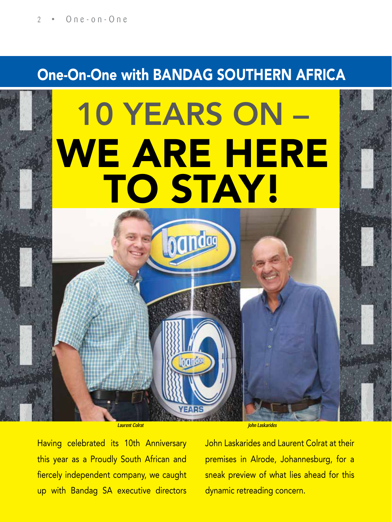# One-On-One with BANDAG SOUTHERN AFRICA

# 10 YEARS ON – WE ARE HERE TO STAY! handag

**Laurent Colrat John Laskarides** 

Having celebrated its 10th Anniversary this year as a Proudly South African and fiercely independent company, we caught up with Bandag SA executive directors John Laskarides and Laurent Colrat at their premises in Alrode, Johannesburg, for a sneak preview of what lies ahead for this dynamic retreading concern.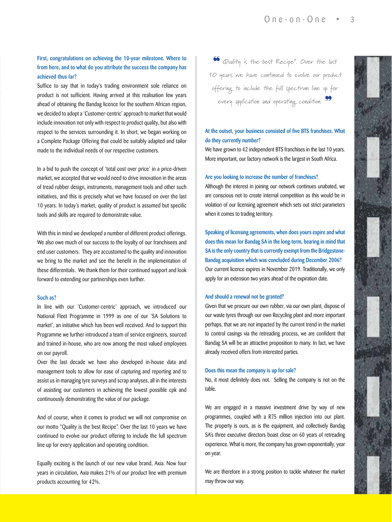# First, congratulations on achieving the 10-year milestone. Where to from here, and to what do you attribute the success the company has achieved thus far?

Suffice to say that in today's trading environment sole reliance on product is not sufficient. Having arrived at this realisation few years ahead of obtaining the Bandag licence for the southern African region, we decided to adopt a 'Customer-centric' approach to market that would include innovation not only with respect to product quality, but also with respect to the services surrounding it. In short, we began working on a Complete Package Offering that could be suitably adapted and tailor made to the individual needs of our respective customers.

In a bid to push the concept of 'total cost over price' in a price-driven market, we accepted that we would need to drive innovation in the areas of tread rubber design, instruments, management tools and other such initiatives, and this is precisely what we have focused on over the last 10 years. In today's market, quality of product is assumed but specific tools and skills are required to demonstrate value.

With this in mind we developed a number of different product offerings. We also owe much of our success to the loyalty of our franchisees and end user customers. They are accustomed to the quality and innovation we bring to the market and see the benefit in the implementation of these differentials. We thank them for their continued support and look forward to extending our partnerships even further.

#### Such as?

In line with our 'Customer-centric' approach, we introduced our National Fleet Programme in 1999 as one of our 'SA Solutions to market', an initiative which has been well received. And to support this Programme we further introduced a team of service engineers, sourced and trained in-house, who are now among the most valued employees on our payroll.

Over the last decade we have also developed in-house data and management tools to allow for ease of capturing and reporting and to assist us in managing tyre surveys and scrap analyses, all in the interests of assisting our customers in achieving the lowest possible cpk and continuously demonstrating the value of our package.

And of course, when it comes to product we will not compromise on our motto "Quality is the best Recipe". Over the last 10 years we have continued to evolve our product offering to include the full spectrum line up for every application and operating condition.

Equally exciting is the launch of our new value brand, Axia. Now four years in circulation, Axia makes 21% of our product line with premium products accounting for 42%.

❝ Quality is the best Recipe". Over the last 10 years we have continued to evolve our product offering to include the full spectrum line up for every application and operating condition. 99

## At the outset, your business consisted of five BTS franchises. What do they currently number?

We have grown to 42 independent BTS franchises in the last 10 years. More important, our factory network is the largest in South Africa.

#### Are you looking to increase the number of franchises?

Although the interest in joining our network continues unabated, we are conscious not to create internal competition as this would be in violation of our licensing agreement which sets out strict parameters when it comes to trading territory.

Speaking of licensing agreements, when does yours expire and what does this mean for Bandag SA in the long-term, bearing in mind that SA is the only country that is currently exempt from the Bridgestone-Bandag acquisition which was concluded during December 2006? Our current licence expires in November 2019. Traditionally, we only apply for an extension two years ahead of the expiration date.

#### And should a renewal not be granted?

Given that we procure our own rubber, via our own plant, dispose of our waste tyres through our own Recycling plant and more important perhaps, that we are not impacted by the current trend in the market to control casings via the retreading process, we are confident that Bandag SA will be an attractive proposition to many. In fact, we have already received offers from interested parties.

#### Does this mean the company is up for sale?

No, it most definitely does not. Selling the company is not on the table.

We are engaged in a massive investment drive by way of new programmes, coupled with a R75 million injection into our plant. The property is ours, as is the equipment, and collectively Bandag SA's three executive directors boast close on 60 years of retreading experience. What is more, the company has grown exponentially, year on year.

We are therefore in a strong position to tackle whatever the market may throw our way.